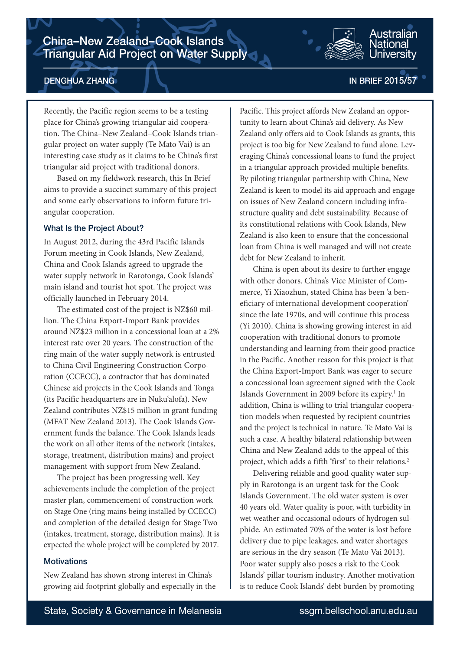

# DENGHUA ZHANG

## IN BRIEF 2015/57

Recently, the Pacific region seems to be a testing place for China's growing triangular aid cooperation. The China–New Zealand–Cook Islands triangular project on water supply (Te Mato Vai) is an interesting case study as it claims to be China's first triangular aid project with traditional donors.

Based on my fieldwork research, this In Brief aims to provide a succinct summary of this project and some early observations to inform future triangular cooperation.

#### What Is the Project About?

In August 2012, during the 43rd Pacific Islands Forum meeting in Cook Islands, New Zealand, China and Cook Islands agreed to upgrade the water supply network in Rarotonga, Cook Islands' main island and tourist hot spot. The project was officially launched in February 2014.

The estimated cost of the project is NZ\$60 million. The China Export-Import Bank provides around NZ\$23 million in a concessional loan at a 2% interest rate over 20 years. The construction of the ring main of the water supply network is entrusted to China Civil Engineering Construction Corporation (CCECC), a contractor that has dominated Chinese aid projects in the Cook Islands and Tonga (its Pacific headquarters are in Nuku'alofa). New Zealand contributes NZ\$15 million in grant funding (MFAT New Zealand 2013). The Cook Islands Government funds the balance. The Cook Islands leads the work on all other items of the network (intakes, storage, treatment, distribution mains) and project management with support from New Zealand.

The project has been progressing well. Key achievements include the completion of the project master plan, commencement of construction work on Stage One (ring mains being installed by CCECC) and completion of the detailed design for Stage Two (intakes, treatment, storage, distribution mains). It is expected the whole project will be completed by 2017.

### **Motivations**

New Zealand has shown strong interest in China's growing aid footprint globally and especially in the

Pacific. This project affords New Zealand an opportunity to learn about China's aid delivery. As New Zealand only offers aid to Cook Islands as grants, this project is too big for New Zealand to fund alone. Leveraging China's concessional loans to fund the project in a triangular approach provided multiple benefits. By piloting triangular partnership with China, New Zealand is keen to model its aid approach and engage on issues of New Zealand concern including infrastructure quality and debt sustainability. Because of its constitutional relations with Cook Islands, New Zealand is also keen to ensure that the concessional loan from China is well managed and will not create debt for New Zealand to inherit.

China is open about its desire to further engage with other donors. China's Vice Minister of Commerce, Yi Xiaozhun, stated China has been 'a beneficiary of international development cooperation' since the late 1970s, and will continue this process (Yi 2010). China is showing growing interest in aid cooperation with traditional donors to promote understanding and learning from their good practice in the Pacific. Another reason for this project is that the China Export-Import Bank was eager to secure a concessional loan agreement signed with the Cook Islands Government in 2009 before its expiry.<sup>1</sup> In addition, China is willing to trial triangular cooperation models when requested by recipient countries and the project is technical in nature. Te Mato Vai is such a case. A healthy bilateral relationship between China and New Zealand adds to the appeal of this project, which adds a fifth 'first' to their relations.<sup>2</sup>

Delivering reliable and good quality water supply in Rarotonga is an urgent task for the Cook Islands Government. The old water system is over 40 years old. Water quality is poor, with turbidity in wet weather and occasional odours of hydrogen sulphide. An estimated 70% of the water is lost before delivery due to pipe leakages, and water shortages are serious in the dry season (Te Mato Vai 2013). Poor water supply also poses a risk to the Cook Islands' pillar tourism industry. Another motivation is to reduce Cook Islands' debt burden by promoting